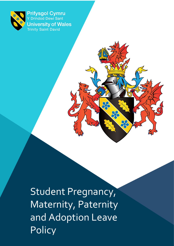

Prifysgol Cymru Y Drindod Dewi Sant **University of Wales Trinity Saint David** 

 $\blacksquare$   $\blacksquare$   $\blacksquare$   $\blacksquare$   $\blacksquare$   $\blacksquare$   $\blacksquare$   $\blacksquare$   $\blacksquare$   $\blacksquare$   $\blacksquare$   $\blacksquare$   $\blacksquare$   $\blacksquare$   $\blacksquare$   $\blacksquare$   $\blacksquare$   $\blacksquare$   $\blacksquare$   $\blacksquare$   $\blacksquare$   $\blacksquare$   $\blacksquare$   $\blacksquare$   $\blacksquare$   $\blacksquare$   $\blacksquare$   $\blacksquare$   $\blacksquare$   $\blacksquare$   $\blacksquare$   $\blacks$ Student Pregnancy, Maternity, Paternity and Adoption Leave **Policy**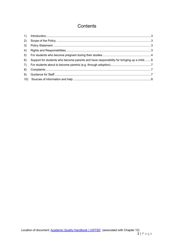## Contents

| 2) |                                                                                           |  |
|----|-------------------------------------------------------------------------------------------|--|
| 3) |                                                                                           |  |
| 4) |                                                                                           |  |
| 5) |                                                                                           |  |
| 6) | Support for students who become parents and have responsibility for bringing up a child 6 |  |
| 7) |                                                                                           |  |
| 8) |                                                                                           |  |
| 9) |                                                                                           |  |
|    |                                                                                           |  |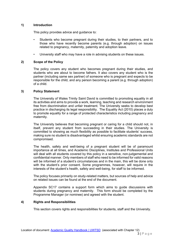## <span id="page-2-0"></span>**1) Introduction**

This policy provides advice and guidance to:

- Students who become pregnant during their studies, to their partners, and to those who have recently become parents (e.g. through adoption) on issues related to pregnancy, maternity, paternity and adoption leave.
- University staff who may have a role in advising students on these issues.

## <span id="page-2-1"></span>**2) Scope of the Policy**

The policy covers any student who becomes pregnant during their studies, and students who are about to become fathers. It also covers any student who is the partner (including same sex partner) of someone who is pregnant and expects to be responsible for the child, and any person becoming a parent (e.g. through adoption) of a child.

## <span id="page-2-2"></span>**3) Policy Statement**

The University of Wales Trinity Saint David is committed to promoting equality in all its activities and aims to provide a work, learning, teaching and research environment free from discrimination and unfair treatment. The University seeks to develop best practice in discharging its legal responsibility. The Equality Act (2010) places a duty to promote equality for a range of protected characteristics including pregnancy and maternity.

The University believes that becoming pregnant or caring for a child should not, in itself, prevent any student from succeeding in their studies. The University is committed to showing as much flexibility as possible to facilitate students' success, making sure no student is disadvantaged whilst ensuring academic standards are not compromised.

The health, safety and well-being of a pregnant student will be of paramount importance at all times, and Academic Disciplines, Institutes and Professional Units will deal with all students covered by this policy in a sensitive, non-judgemental and confidential manner. Only members of staff who need to be informed for valid reasons will be informed of a student's circumstances and in the main, this will be done only with the student's prior consent. Some programmes, however, will require in the interests of the student's health, safety and well-being, for staff to be informed.

The policy focuses primarily on study-related matters, but sources of help and advice on related issues can be found at the end of the document.

Appendix SC17 contains a support form which aims to guide discussions with students during pregnancy and maternity. This form should be completed by the Programme Manager (or nominee) and agreed with the student.

## <span id="page-2-3"></span>**4) Rights and Responsibilities**

This section covers rights and responsibilities for students, staff and the University.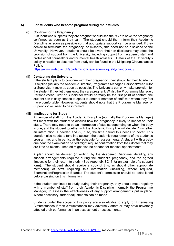## <span id="page-3-0"></span>**5) For students who become pregnant during their studies**

### **(i) Confirming the Pregnancy**

A student who suspects they are pregnant should see their GP to have the pregnancy confirmed as soon as they can. The student should then inform their Academic Discipline as soon as possible so that appropriate support can be arranged. If they decide to terminate the pregnancy, or miscarry, this need not be disclosed to the University. However, students should be aware that non-disclosure may affect the provision of support from the University, including support from academic staff and professional counsellors and/or mental health advisers. Details of the University's policy in relation to absence from study can be found in the Mitigating Circumstances Policy:

<https://www.uwtsd.ac.uk/academic-office/academic-quality-handbook/> [/](http://www.uwtsd.ac.uk/academic-office/university-regulations-student-guide/)

#### **(ii) Contacting the University**

If the student plans to continue with their pregnancy, they should let their Academic Discipline (usually the Academic Director, Programme Manager, Personal/Year Tutor or Supervisor) know as soon as possible. The University can only make provision for the student if they let them know they are pregnant. Whilst the Programme Manager, Personal/Year Tutor or Supervisor would normally be the first point of contact, the student can initially choose to speak to another member of staff with whom they feel more comfortable. However, students should note that the Programme Manager or Supervisor will need to be informed.

## **(iii) Implications for Study**

A member of staff from the Academic Discipline (normally the Programme Manager) will meet with the student to discuss how the pregnancy is likely to impact on their study. There may need to be an interruption of studies depending on when the baby is due, and the student together with the Academic Discipline will decide (1) whether an interruption is needed and (2) if so, the time period this needs to cover. This decision also needs to take into account the academic requirements of the student's programme, and in particular the schedule for assessments. A student with a baby due near the examination period might require confirmation from their doctor that they are fit to sit exams. Time off might also be needed for medical appointments.

A plan should be devised (in writing) by the Academic Discipline, detailing any support arrangements required during the student's pregnancy, and the agreed timescale for their return to study. (See Appendix SC17 for an example of a support form). The student should receive a copy of this, as should other appropriate member(s) of staff requiring this information (including, where required, Examination/Progression Boards). The student's permission should be established before passing on this information.

If the student continues to study during their pregnancy, they should meet regularly with a member of staff from their Academic Discipline (normally the Programme Manager) to assess the effectiveness of any support arrangements put in place. Where necessary, further adjustments can be made.

Students under the scope of this policy are also eligible to apply for Extenuating Circumstances if their circumstances may adversely affect or may have adversely affected their performance in an assessment or assessments.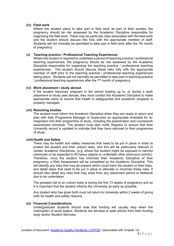## **(iv) Field work**

Where the student plans to take part in field work as part of their studies, the pregnancy should be risk assessed by the Academic Discipline responsible for organising the field work. There may be particular risks associated with the field work and the student should discuss this fully with the appropriate member of staff. Students will not normally be permitted to take part in field work after the 7th month of pregnancy.

## **(v) Teaching practice / Professional Teaching Experiences**

Where the student is required to undertake a period of teaching practice / professional teaching experiences, the pregnancy should be risk assessed by the Academic Discipline responsible for organising the teaching practice / professional teaching experiences. The student should discuss these risks fully with the appropriate member of staff prior to the teaching practice / professional teaching experiences taking place. Students will not normally be permitted to take part in teaching practice / professional teaching experiences after the  $7<sup>th</sup>$  month of pregnancy.

#### **(vi) Work placement / study abroad**

If the student becomes pregnant in the period leading up to, or during a work placement or study year abroad, they must contact the Academic Discipline to make appropriate plans to ensure that health is safeguarded and academic progress is properly managed.

#### **(vii) Resuming studies**

The student must inform the Academic Discipline when they are ready to return and plan with their Programme Manager or Supervisor an appropriate timetable for reintegration into their programme of study, including the examination and coursework assessment schedule. The student must also notify Registry to ensure that their University record is updated to indicate that they have returned to their programme of study.

#### **(viii) Health and Safety**

There may be health and safety measures that need to be put in place in order to protect the student and their unborn baby, and this will be particularly relevant in certain Academic Disciplines, (e.g. where the student might be exposed to harmful chemicals or be expected to lift heavy objects or undertake other strenuous activity). Therefore, once the student has informed their Academic Discipline of their pregnancy, a Risk Assessment will be completed by the Academic Discipline. This will identify any risks that may be present which could harm the student or their baby, and detail steps that need to be put in place to alleviate or minimise these risks. It should also detail any risks that may arise from any placement period or fieldwork due to be undertaken.

The greatest risk to an unborn baby is during the first 13 weeks of pregnancy and so it is important that the student informs the University as early as possible.

Any student who has given birth must not return to University within 2 weeks of giving birth for health and safety reasons.

#### **(ix) Financial Considerations**

Undergraduate students should note that funding will usually stop when the interruption of study begins. Students are advised to seek advice from their funding body and/or Student Services.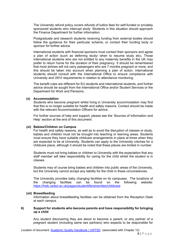The University refund policy covers refunds of tuition fees for self-funded or privately sponsored students who interrupt study. Students in this situation should approach the Finance Department for further information.

Postgraduate and research students receiving funding from external bodies should follow the guidance for their particular scheme, or contact their funding body or sponsor for further advice.

International students with financial sponsors must contact their sponsors and agree a plan of action (such as deferring study/ when to resume study etc). Those international students who are not entitled to any maternity benefits in the UK may prefer to return home for the duration of their pregnancy. It should be remembered that most airlines will not carry passengers who are 7 months pregnant or more, and this should be taken into account when planning a plan of action. International students should consult with the International Office to ensure compliance with University and UKVI requirements in relation to attendance monitoring.

The benefit rules are different for EU students and international students, and further advice should be sought from the International Office and/or Student Services or the Department for Work and Pensions.

## **(x) Accommodation**

Students who become pregnant whilst living in University accommodation may find that this is no longer suitable for health and safety reasons. Contact should be made with the relevant Accommodation Officers for advice.

For further sources of help and support, please see the 'Sources of Information and Help' section at the end of this document.

#### **(xi) Babies/Children on Campus**

For health and safety reasons, as well as to avoid the disruption of classes or study, babies and children must not be brought into teaching or learning areas. Students must ensure they have suitable childcare arrangements in place at times when they are expected to be at University. Students can apply to the University crèches for a childcare place, although it should be noted that these places are limited in number.

Students must not bring babies or children to University with the expectation that any staff member will take responsibility for caring for the child whilst the student is in classes.

Students may of course bring babies and children into public areas of the University, but the University cannot accept any liability for the child in these circumstances.

The University provides baby changing facilities on its campuses. The locations of the changing facilities can be found on the following website: <https://hwb.uwtsd.ac.uk/pages/studentlife/amenities/childcare>

#### **(xii) Breastfeeding**

Information about breastfeeding facilities can be obtained from the Reception Desk at each campus.

#### <span id="page-5-0"></span>**6) Support for students who become parents and have responsibility for bringing up a child**

Any student discovering they are about to become a parent, or any partner of a pregnant student (including same sex partners) who expects to be responsible for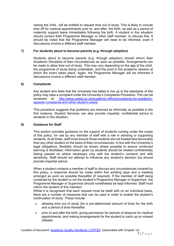raising the child , will be entitled to request time out of study. This is likely to include time off for medical appointments prior to, and after, the birth, as well as a period of maternity support leave immediately following the birth. A student in this situation should contact their Programme Manager or other staff member, to discuss this. It should be noted that the Programme Manager will need to be informed, even if discussions involve a different staff member.

## <span id="page-6-0"></span>**7) For students about to become parents (e.g. through adoption)**

Students about to become parents (e.g. through adoption) should inform their Academic Discipline of their circumstances as soon as possible. Arrangements can be made to allow time out of study. This may vary depending on the age of the child, the programme of study being undertaken, and the point in the academic session at which the event takes place. Again, the Programme Manager will be informed if discussions involve a different staff member.

## <span id="page-6-1"></span>**8) Complaints**

Any student who feels that the University has failed to live up to the standards of this policy may raise a complaint under the University's Complaints Procedure. This can be<br>accessed at: http://www.uwtsd.ac.uk/academic-office/procedures-for-academic[http://www.uwtsd.ac.uk/academic-office/procedures-for-academic](http://www.uwtsd.ac.uk/academic-office/procedures-for-academic-appeals-complaints-and-other-student-cases/)[appeals-complaints-and-other-student-cases/](http://www.uwtsd.ac.uk/academic-office/procedures-for-academic-appeals-complaints-and-other-student-cases/)

This procedure suggests that problems are resolved as informally as possible in the first instance. Student Services can also provide impartial, confidential advice to students in this situation.

## <span id="page-6-2"></span>**9) Guidance for Staff**

This section provides guidance on the support of students coming under the scope of this policy, for use by any member of staff with a role in advising or supporting students. At all times, staff must ensure those students are not treated less favourably than any other student on the basis of their circumstances. In line with the University's legal obligations, flexibility should be shown where possible to ensure continued learning is facilitated. Information given by students should be treated confidentially (being passed on where necessary only with the student's consent) and with sensitivity. Staff should not attempt to influence any student's decision but should provide impartial advice.

When a student contacts a member of staff to discuss any circumstances covered by this policy, a response should be made within five working days and a meeting arranged as soon as possible thereafter (if required). If the member of staff being contacted by the student is not the student's Programme Manager or Supervisor, the Programme Manager or Supervisor should nonetheless be kept informed. Staff must inform the student of this intention.

Whilst it is recognised that each request must be dealt with on an individual basis. there are a number of measures that can be used in order to enable the student's continuation of study. These include:

- allowing time out of study (for a pre-determined amount of time) for the birth and a period of time thereafter;
- prior to and after the birth, giving permission for periods of absence for medical appointments, and making arrangements for the student to catch up on missed classes;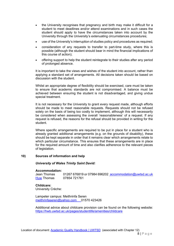- the University recognises that pregnancy and birth may make it difficult for a student to meet deadlines and/or attend examinations and in such cases the student should apply to have the circumstances taken into account by the University through the University's extenuating circumstances procedures;
- use of the University's interruption of studies policy and procedures as required;
- consideration of any requests to transfer to part-time study, where this is possible (although the student should bear in mind the financial implications of this course of action);
- offering support to help the student reintegrate to their studies after any period of prolonged absence.

It is important to take the views and wishes of the student into account, rather than applying a standard set of arrangements. All decisions taken should be based on discussion with the student.

Whilst an appropriate degree of flexibility should be exercised, care must be taken to ensure that academic standards are not compromised. A balance must be achieved between ensuring the student is not disadvantaged, and giving undue special treatment.

It is not necessary for the University to grant every request made, although efforts should be made to meet reasonable requests. Requests should not be refused solely on the basis of being too costly to implement, although this will necessarily be considered when assessing the overall 'reasonableness' of a request. If any request is refused, the reasons for the refusal should be provided in writing for the student.

Where specific arrangements are required to be put in place for a student who is already granted additional arrangements (e.g. on the grounds of disability), these should be kept separate in order that it remains clear which arrangements relate to which particular circumstance. This ensures that these arrangements are in place for the required amount of time and also clarifies adherence to the relevant pieces of legislation.

## **10) Sources of information and help**

#### <span id="page-7-0"></span>*University of Wales Trinity Saint David:*

# **Accommodation:**

 $01267 676819$  or 07984 696202 [accommodation@uwtsd.ac.uk](mailto:accommodation@uwtsd.ac.uk) [Huw](mailto:Huw) Thomas 07854 721761

**Childcare:**  University Crèche:

Lampeter campus: Meithrinfa Seren [meithrinfaseren@yahoo.com](mailto:meithrinfaseren@yahoo.com) 01570 423426

Additional advice about childcare provision can be found on the following website: <https://hwb.uwtsd.ac.uk/pages/studentlife/amenities/childcare>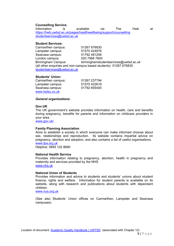#### **Counselling Service:**

Information is available via The Hwb at <https://hwb.uwtsd.ac.uk/pages/healthwellbeing/support/counselling> studentservices@uwtsd.ac.uk

#### **Student Services:**

Carmarthen campus: 01267 676830 Lampeter campus: 01570 424876 Swansea campus: 01792 481206 London campus: 020 7566 7600 birmingham studentservices@uwtsd.ac.uk (all other enquiries and non-campus based students) 01267 676830 studentservices@uwtsd.ac.uk

#### **Students' Union:**

Carmarthen campus: 01267 237794 Lampeter campus: 01570 422619 Swansea campus: [www.tsdsu.co.uk](http://www.tsdsu.co.uk/)

#### *General organisations***:**

#### **Gov.UK**

The UK government's website provides information on health, care and benefits during pregnancy, benefits for parents and information on childcare providers in your area.

[www.gov.uk/](http://www.gov.uk/)

#### **Family Planning Association**

Aims to establish a society in which everyone can make informed choices about sex, relationships and reproduction. Its website contains impartial advice on pregnancy, abortion and adoption, and also contains a list of useful organisations. [www.fpa.org.uk](http://www.fpa.org.uk/)

Helpline: 0845 122 8690

#### **National Health Service**

Provides information relating to pregnancy, abortion, health in pregnancy and maternity and services provided by the NHS [www.nhs.uk](http://www.nhs.uk/)

#### **National Union of Students**

Provides information and advice to students and students' unions about student finance, rights and welfare. Information for student parents is available on its website, along with research and publications about students with dependant children.

[www.nus.org.uk](http://www.nus.org.uk/)

(See also Students' Union offices on Carmarthen, Lampeter and Swansea campuses)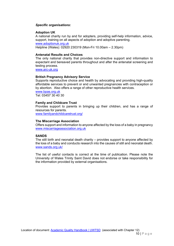#### *Specific organisations***:**

## **Adoption UK**

A national charity run by and for adopters, providing self-help information, advice, support, training on all aspects of adoption and adoptive parenting. [www.adoptionuk.org.uk](http://www.adoptionuk.org.uk/) Helpline (Wales): 02920 230319 (Mon-Fri 10.00am – 2.30pm)

## **Antenatal Results and Choices**

The only national charity that provides non-directive support and information to expectant and bereaved parents throughout and after the antenatal screening and testing process.

[www.arc-uk.org](http://www.arc-uk.org/)

#### **British Pregnancy Advisory Service**

Supports reproductive choice and health by advocating and providing high-quality affordable services to prevent or end unwanted pregnancies with contraception or by abortion. Also offers a range of other reproductive health services. [www.bpas.org.uk](http://www.bpas.org.uk/)

Tel: 03457 30 40 30

#### **Family and Childcare Trust**

Provides support to parents in bringing up their children, and has a range of resources for parents.

www.familyandchildcaretrust.org/

#### **The Miscarriage Association**

Offers support and information to anyone affected by the loss of a baby in pregnancy [www.miscarriageassociation.org.uk](http://www.miscarriageassociation.org.uk/)

## **SANDS**

The still birth and neonatal death charity – provides support to anyone affected by the loss of a baby and conducts research into the causes of still and neonatal death. www.sands.org.uk/

The list of useful contacts is correct at the time of publication. Please note the University of Wales Trinity Saint David does not endorse or take responsibility for the information provided by external organisations.